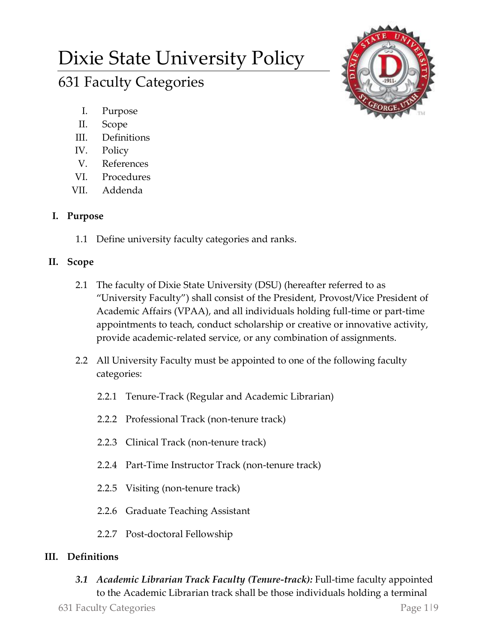# Dixie State University Policy

# 631 Faculty Categories



- I. Purpose
- II. Scope
- III. Definitions
- IV. Policy
- V. References
- VI. Procedures
- VII. Addenda

# **I. Purpose**

1.1 Define university faculty categories and ranks.

# **II. Scope**

- 2.1 The faculty of Dixie State University (DSU) (hereafter referred to as "University Faculty") shall consist of the President, Provost/Vice President of Academic Affairs (VPAA), and all individuals holding full-time or part-time appointments to teach, conduct scholarship or creative or innovative activity, provide academic-related service, or any combination of assignments.
- 2.2 All University Faculty must be appointed to one of the following faculty categories:
	- 2.2.1 Tenure-Track (Regular and Academic Librarian)
	- 2.2.2 Professional Track (non-tenure track)
	- 2.2.3 Clinical Track (non-tenure track)
	- 2.2.4 Part-Time Instructor Track (non-tenure track)
	- 2.2.5 Visiting (non-tenure track)
	- 2.2.6 Graduate Teaching Assistant
	- 2.2.7 Post-doctoral Fellowship

## **III. Definitions**

*3.1 Academic Librarian Track Faculty (Tenure-track):* Full-time faculty appointed to the Academic Librarian track shall be those individuals holding a terminal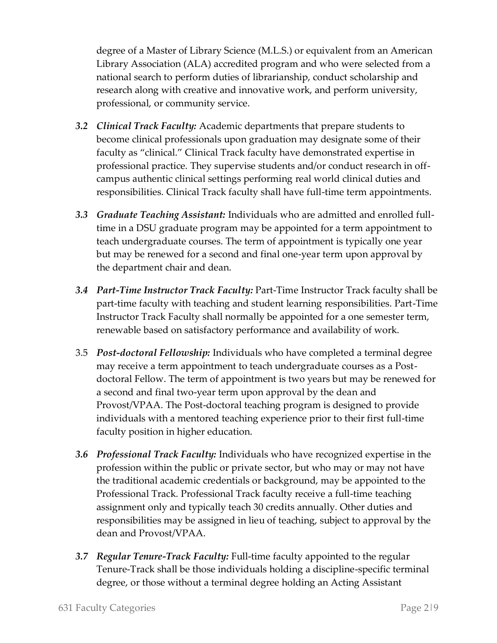degree of a Master of Library Science (M.L.S.) or equivalent from an American Library Association (ALA) accredited program and who were selected from a national search to perform duties of librarianship, conduct scholarship and research along with creative and innovative work, and perform university, professional, or community service.

- *3.2 Clinical Track Faculty:* Academic departments that prepare students to become clinical professionals upon graduation may designate some of their faculty as "clinical." Clinical Track faculty have demonstrated expertise in professional practice. They supervise students and/or conduct research in offcampus authentic clinical settings performing real world clinical duties and responsibilities. Clinical Track faculty shall have full-time term appointments.
- *3.3 Graduate Teaching Assistant:* Individuals who are admitted and enrolled fulltime in a DSU graduate program may be appointed for a term appointment to teach undergraduate courses. The term of appointment is typically one year but may be renewed for a second and final one-year term upon approval by the department chair and dean.
- *3.4 Part-Time Instructor Track Faculty:* Part-Time Instructor Track faculty shall be part-time faculty with teaching and student learning responsibilities. Part-Time Instructor Track Faculty shall normally be appointed for a one semester term, renewable based on satisfactory performance and availability of work.
- 3.5 *Post-doctoral Fellowship:* Individuals who have completed a terminal degree may receive a term appointment to teach undergraduate courses as a Postdoctoral Fellow. The term of appointment is two years but may be renewed for a second and final two-year term upon approval by the dean and Provost/VPAA. The Post-doctoral teaching program is designed to provide individuals with a mentored teaching experience prior to their first full-time faculty position in higher education.
- *3.6 Professional Track Faculty:* Individuals who have recognized expertise in the profession within the public or private sector, but who may or may not have the traditional academic credentials or background, may be appointed to the Professional Track. Professional Track faculty receive a full-time teaching assignment only and typically teach 30 credits annually. Other duties and responsibilities may be assigned in lieu of teaching, subject to approval by the dean and Provost/VPAA.
- *3.7 Regular Tenure-Track Faculty:* Full-time faculty appointed to the regular Tenure-Track shall be those individuals holding a discipline-specific terminal degree, or those without a terminal degree holding an Acting Assistant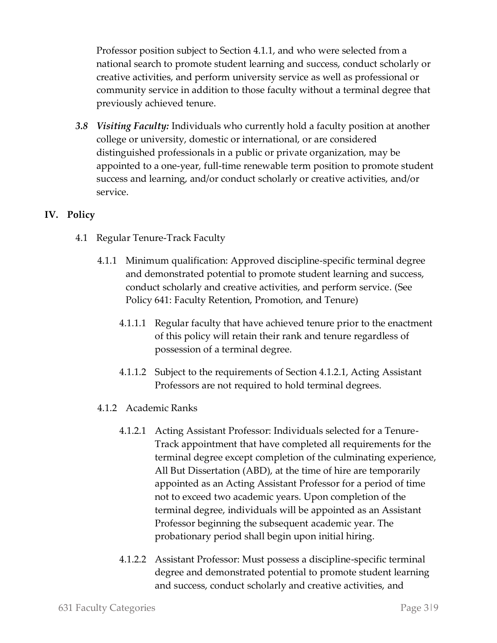Professor position subject to Section 4.1.1, and who were selected from a national search to promote student learning and success, conduct scholarly or creative activities, and perform university service as well as professional or community service in addition to those faculty without a terminal degree that previously achieved tenure.

*3.8 Visiting Faculty:* Individuals who currently hold a faculty position at another college or university, domestic or international, or are considered distinguished professionals in a public or private organization, may be appointed to a one-year, full-time renewable term position to promote student success and learning, and/or conduct scholarly or creative activities, and/or service.

### **IV. Policy**

- 4.1 Regular Tenure-Track Faculty
	- 4.1.1 Minimum qualification: Approved discipline-specific terminal degree and demonstrated potential to promote student learning and success, conduct scholarly and creative activities, and perform service. (See Policy 641: Faculty Retention, Promotion, and Tenure)
		- 4.1.1.1 Regular faculty that have achieved tenure prior to the enactment of this policy will retain their rank and tenure regardless of possession of a terminal degree.
		- 4.1.1.2 Subject to the requirements of Section 4.1.2.1, Acting Assistant Professors are not required to hold terminal degrees.
	- 4.1.2 Academic Ranks
		- 4.1.2.1 Acting Assistant Professor: Individuals selected for a Tenure-Track appointment that have completed all requirements for the terminal degree except completion of the culminating experience, All But Dissertation (ABD), at the time of hire are temporarily appointed as an Acting Assistant Professor for a period of time not to exceed two academic years. Upon completion of the terminal degree, individuals will be appointed as an Assistant Professor beginning the subsequent academic year. The probationary period shall begin upon initial hiring.
		- 4.1.2.2 Assistant Professor: Must possess a discipline-specific terminal degree and demonstrated potential to promote student learning and success, conduct scholarly and creative activities, and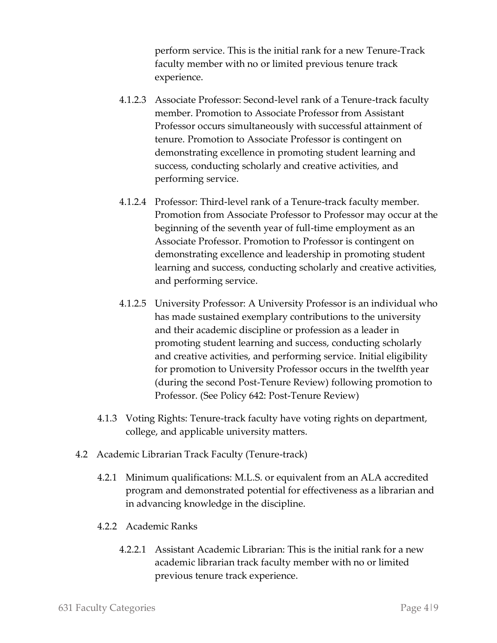perform service. This is the initial rank for a new Tenure-Track faculty member with no or limited previous tenure track experience.

- 4.1.2.3 Associate Professor: Second-level rank of a Tenure-track faculty member. Promotion to Associate Professor from Assistant Professor occurs simultaneously with successful attainment of tenure. Promotion to Associate Professor is contingent on demonstrating excellence in promoting student learning and success, conducting scholarly and creative activities, and performing service.
- 4.1.2.4 Professor: Third-level rank of a Tenure-track faculty member. Promotion from Associate Professor to Professor may occur at the beginning of the seventh year of full-time employment as an Associate Professor. Promotion to Professor is contingent on demonstrating excellence and leadership in promoting student learning and success, conducting scholarly and creative activities, and performing service.
- 4.1.2.5 University Professor: A University Professor is an individual who has made sustained exemplary contributions to the university and their academic discipline or profession as a leader in promoting student learning and success, conducting scholarly and creative activities, and performing service. Initial eligibility for promotion to University Professor occurs in the twelfth year (during the second Post-Tenure Review) following promotion to Professor. (See Policy 642: Post-Tenure Review)
- 4.1.3 Voting Rights: Tenure-track faculty have voting rights on department, college, and applicable university matters.
- 4.2 Academic Librarian Track Faculty (Tenure-track)
	- 4.2.1 Minimum qualifications: M.L.S. or equivalent from an ALA accredited program and demonstrated potential for effectiveness as a librarian and in advancing knowledge in the discipline.
	- 4.2.2 Academic Ranks
		- 4.2.2.1 Assistant Academic Librarian: This is the initial rank for a new academic librarian track faculty member with no or limited previous tenure track experience.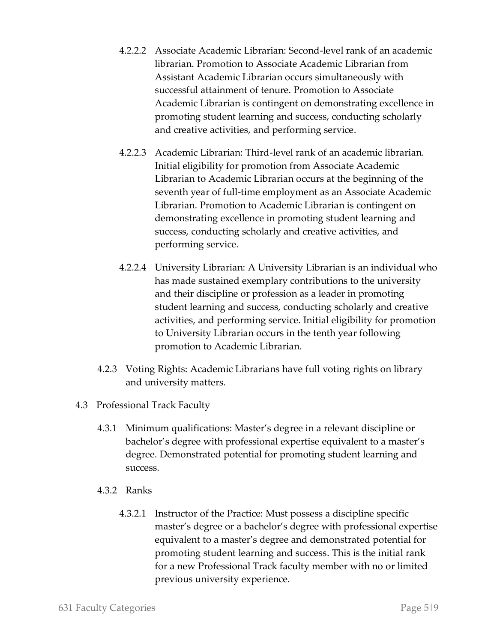- 4.2.2.2 Associate Academic Librarian: Second-level rank of an academic librarian. Promotion to Associate Academic Librarian from Assistant Academic Librarian occurs simultaneously with successful attainment of tenure. Promotion to Associate Academic Librarian is contingent on demonstrating excellence in promoting student learning and success, conducting scholarly and creative activities, and performing service.
- 4.2.2.3 Academic Librarian: Third-level rank of an academic librarian. Initial eligibility for promotion from Associate Academic Librarian to Academic Librarian occurs at the beginning of the seventh year of full-time employment as an Associate Academic Librarian. Promotion to Academic Librarian is contingent on demonstrating excellence in promoting student learning and success, conducting scholarly and creative activities, and performing service.
- 4.2.2.4 University Librarian: A University Librarian is an individual who has made sustained exemplary contributions to the university and their discipline or profession as a leader in promoting student learning and success, conducting scholarly and creative activities, and performing service. Initial eligibility for promotion to University Librarian occurs in the tenth year following promotion to Academic Librarian.
- 4.2.3 Voting Rights: Academic Librarians have full voting rights on library and university matters.
- 4.3 Professional Track Faculty
	- 4.3.1 Minimum qualifications: Master's degree in a relevant discipline or bachelor's degree with professional expertise equivalent to a master's degree. Demonstrated potential for promoting student learning and success.
	- 4.3.2 Ranks
		- 4.3.2.1 Instructor of the Practice: Must possess a discipline specific master's degree or a bachelor's degree with professional expertise equivalent to a master's degree and demonstrated potential for promoting student learning and success. This is the initial rank for a new Professional Track faculty member with no or limited previous university experience.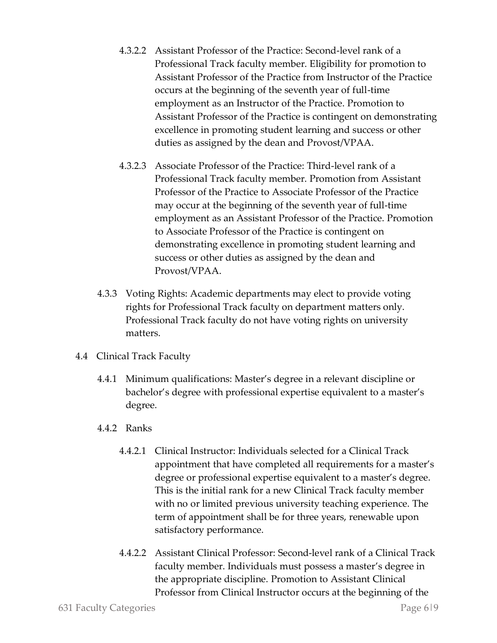- 4.3.2.2 Assistant Professor of the Practice: Second-level rank of a Professional Track faculty member. Eligibility for promotion to Assistant Professor of the Practice from Instructor of the Practice occurs at the beginning of the seventh year of full-time employment as an Instructor of the Practice. Promotion to Assistant Professor of the Practice is contingent on demonstrating excellence in promoting student learning and success or other duties as assigned by the dean and Provost/VPAA.
- 4.3.2.3 Associate Professor of the Practice: Third-level rank of a Professional Track faculty member. Promotion from Assistant Professor of the Practice to Associate Professor of the Practice may occur at the beginning of the seventh year of full-time employment as an Assistant Professor of the Practice. Promotion to Associate Professor of the Practice is contingent on demonstrating excellence in promoting student learning and success or other duties as assigned by the dean and Provost/VPAA.
- 4.3.3 Voting Rights: Academic departments may elect to provide voting rights for Professional Track faculty on department matters only. Professional Track faculty do not have voting rights on university matters.
- 4.4 Clinical Track Faculty
	- 4.4.1 Minimum qualifications: Master's degree in a relevant discipline or bachelor's degree with professional expertise equivalent to a master's degree.
	- 4.4.2 Ranks
		- 4.4.2.1 Clinical Instructor: Individuals selected for a Clinical Track appointment that have completed all requirements for a master's degree or professional expertise equivalent to a master's degree. This is the initial rank for a new Clinical Track faculty member with no or limited previous university teaching experience. The term of appointment shall be for three years, renewable upon satisfactory performance.
		- 4.4.2.2 Assistant Clinical Professor: Second-level rank of a Clinical Track faculty member. Individuals must possess a master's degree in the appropriate discipline. Promotion to Assistant Clinical Professor from Clinical Instructor occurs at the beginning of the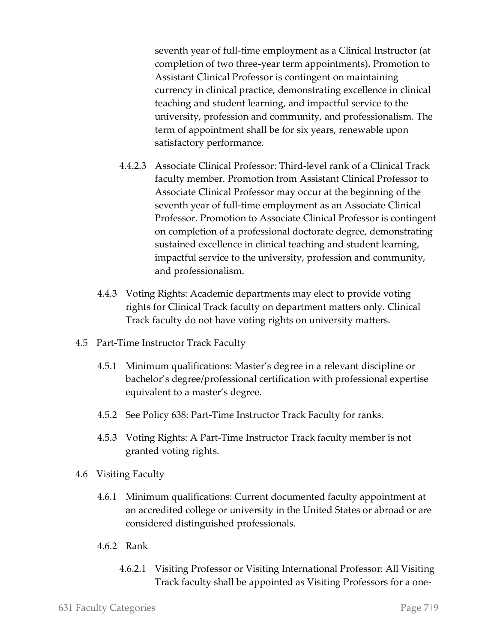seventh year of full-time employment as a Clinical Instructor (at completion of two three-year term appointments). Promotion to Assistant Clinical Professor is contingent on maintaining currency in clinical practice, demonstrating excellence in clinical teaching and student learning, and impactful service to the university, profession and community, and professionalism. The term of appointment shall be for six years, renewable upon satisfactory performance.

- 4.4.2.3 Associate Clinical Professor: Third-level rank of a Clinical Track faculty member. Promotion from Assistant Clinical Professor to Associate Clinical Professor may occur at the beginning of the seventh year of full-time employment as an Associate Clinical Professor. Promotion to Associate Clinical Professor is contingent on completion of a professional doctorate degree, demonstrating sustained excellence in clinical teaching and student learning, impactful service to the university, profession and community, and professionalism.
- 4.4.3 Voting Rights: Academic departments may elect to provide voting rights for Clinical Track faculty on department matters only. Clinical Track faculty do not have voting rights on university matters.
- 4.5 Part-Time Instructor Track Faculty
	- 4.5.1 Minimum qualifications: Master's degree in a relevant discipline or bachelor's degree/professional certification with professional expertise equivalent to a master's degree.
	- 4.5.2 See Policy 638: Part-Time Instructor Track Faculty for ranks.
	- 4.5.3 Voting Rights: A Part-Time Instructor Track faculty member is not granted voting rights.
- 4.6 Visiting Faculty
	- 4.6.1 Minimum qualifications: Current documented faculty appointment at an accredited college or university in the United States or abroad or are considered distinguished professionals.
	- 4.6.2 Rank
		- 4.6.2.1 Visiting Professor or Visiting International Professor: All Visiting Track faculty shall be appointed as Visiting Professors for a one-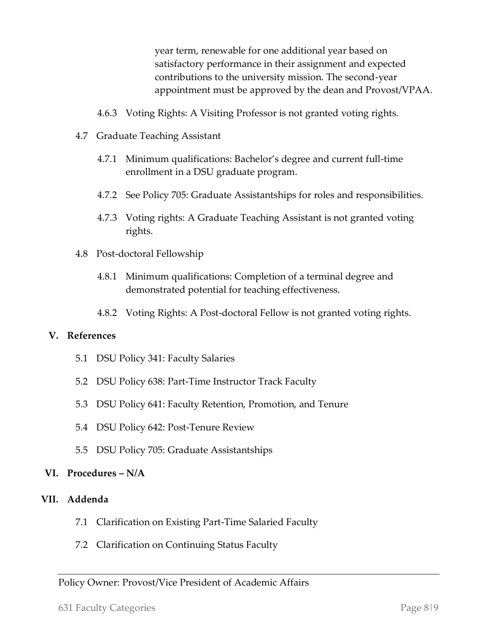year term, renewable for one additional year based on satisfactory performance in their assignment and expected contributions to the university mission. The second-year appointment must be approved by the dean and Provost/VPAA.

- 4.6.3 Voting Rights: A Visiting Professor is not granted voting rights.
- 4.7 Graduate Teaching Assistant
	- 4.7.1 Minimum qualifications: Bachelor's degree and current full-time enrollment in a DSU graduate program.
	- 4.7.2 See Policy 705: Graduate Assistantships for roles and responsibilities.
	- 4.7.3 Voting rights: A Graduate Teaching Assistant is not granted voting rights.
- 4.8 Post-doctoral Fellowship
	- 4.8.1 Minimum qualifications: Completion of a terminal degree and demonstrated potential for teaching effectiveness.
	- 4.8.2 Voting Rights: A Post-doctoral Fellow is not granted voting rights.

#### **V. References**

- 5.1 DSU Policy 341: Faculty Salaries
- 5.2 DSU Policy 638: Part-Time Instructor Track Faculty
- 5.3 DSU Policy 641: Faculty Retention, Promotion, and Tenure
- 5.4 DSU Policy 642: Post-Tenure Review
- 5.5 DSU Policy 705: Graduate Assistantships

#### **VI. Procedures – N/A**

#### **VII. Addenda**

- 7.1 Clarification on Existing Part-Time Salaried Faculty
- 7.2 Clarification on Continuing Status Faculty